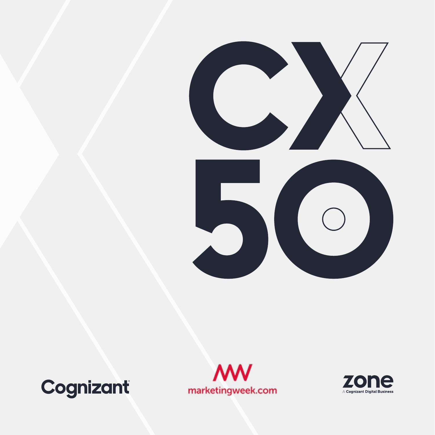





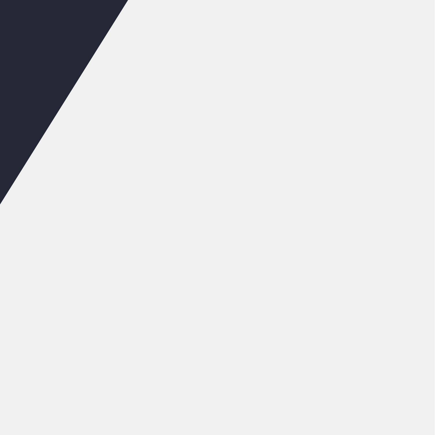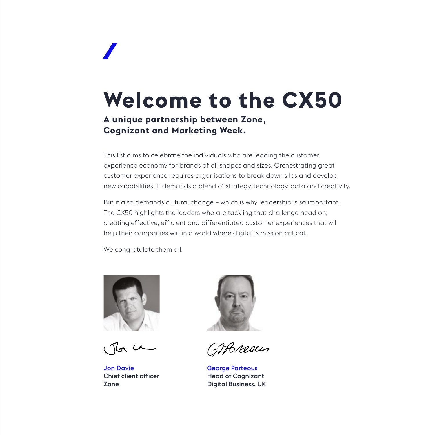# **Welcome to the CX50**

# **A unique partnership between Zone, Cognizant and Marketing Week.**

This list aims to celebrate the individuals who are leading the customer experience economy for brands of all shapes and sizes. Orchestrating great customer experience requires organisations to break down silos and develop new capabilities. It demands a blend of strategy, technology, data and creativity.

But it also demands cultural change – which is why leadership is so important. The CX50 highlights the leaders who are tackling that challenge head on, creating effective, efficient and differentiated customer experiences that will help their companies win in a world where digital is mission critical.

We congratulate them all.



Jon Davie Chief client officer Zone



F.Mereau

George Porteous Head of Cognizant Digital Business, UK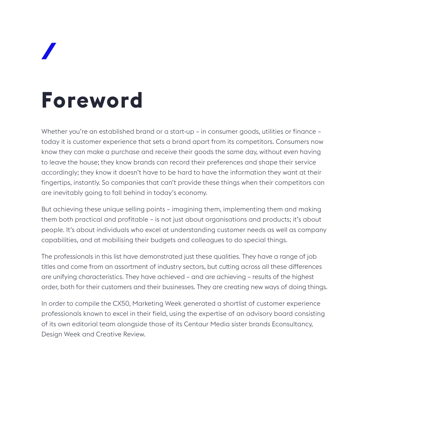# **Foreword**

Whether you're an established brand or a start-up - in consumer goods, utilities or finance today it is customer experience that sets a brand apart from its competitors. Consumers now know they can make a purchase and receive their goods the same day, without even having to leave the house; they know brands can record their preferences and shape their service accordingly; they know it doesn't have to be hard to have the information they want at their fingertips, instantly. So companies that can't provide these things when their competitors can are inevitably going to fall behind in today's economy.

But achieving these unique selling points – imagining them, implementing them and making them both practical and profitable – is not just about organisations and products; it's about people. It's about individuals who excel at understanding customer needs as well as company capabilities, and at mobilising their budgets and colleagues to do special things.

The professionals in this list have demonstrated just these qualities. They have a range of job titles and come from an assortment of industry sectors, but cutting across all these differences are unifying characteristics. They have achieved – and are achieving – results of the highest order, both for their customers and their businesses. They are creating new ways of doing things.

In order to compile the CX50, Marketing Week generated a shortlist of customer experience professionals known to excel in their field, using the expertise of an advisory board consisting of its own editorial team alongside those of its Centaur Media sister brands Econsultancy, Design Week and Creative Review.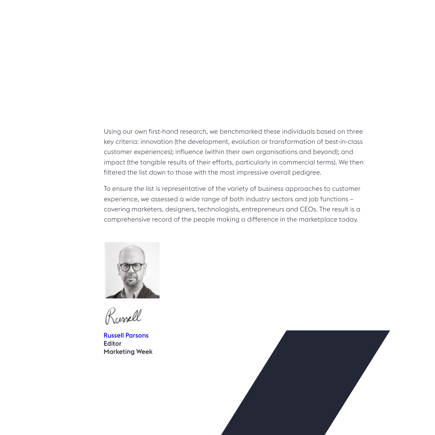Using our own first-hand research, we benchmarked these individuals based on three key criteria: innovation (the development, evolution or transformation of best-in-class customer experiences); influence (within their own organisations and beyond); and impact (the tangible results of their efforts, particularly in commercial terms). We then filtered the list down to those with the most impressive overall pedigree.

To ensure the list is representative of the variety of business approaches to customer experience, we assessed a wide range of both industry sectors and job functions – covering marketers, designers, technologists, entrepreneurs and CEOs. The result is a comprehensive record of the people making a difference in the marketplace today.



Russell

Russell Parsons Editor Marketing Week

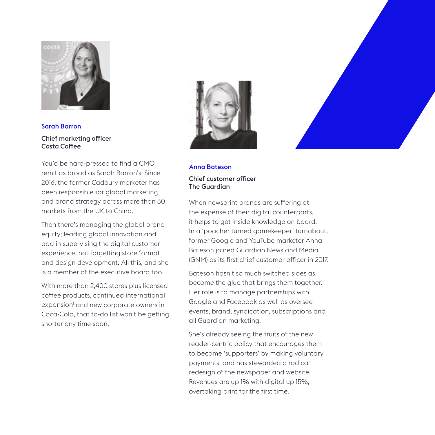

Sarah Barron Chief marketing officer Costa Coffee

You'd be hard-pressed to find a CMO remit as broad as Sarah Barron's. Since 2016, the former Cadbury marketer has been responsible for global marketing and brand strategy across more than 30 markets from the UK to China.

Then there's managing the global brand equity; leading global innovation and add in supervising the digital customer experience, not forgetting store format and design development. All this, and she is a member of the executive board too.

With more than 2,400 stores plus licensed coffee products, continued international expansion' and new corporate owners in Coca-Cola, that to-do list won't be getting shorter any time soon.





# Anna Bateson

# Chief customer officer The Guardian

When newsprint brands are suffering at the expense of their digital counterparts, it helps to get inside knowledge on board. In a 'poacher turned gamekeeper' turnabout, former Google and YouTube marketer Anna Bateson joined Guardian News and Media (GNM) as its first chief customer officer in 2017.

Bateson hasn't so much switched sides as become the glue that brings them together. Her role is to manage partnerships with Google and Facebook as well as oversee events, brand, syndication, subscriptions and all Guardian marketing.

She's already seeing the fruits of the new reader-centric policy that encourages them to become 'supporters' by making voluntary payments, and has stewarded a radical redesign of the newspaper and website. Revenues are up 1% with digital up 15%, overtaking print for the first time.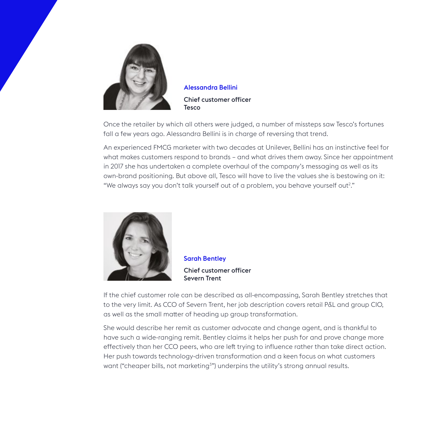

Alessandra Bellini Chief customer officer Tesco

Once the retailer by which all others were judged, a number of missteps saw Tesco's fortunes fall a few years ago. Alessandra Bellini is in charge of reversing that trend.

An experienced FMCG marketer with two decades at Unilever, Bellini has an instinctive feel for what makes customers respond to brands – and what drives them away. Since her appointment in 2017 she has undertaken a complete overhaul of the company's messaging as well as its own-brand positioning. But above all, Tesco will have to live the values she is bestowing on it: "We always say you don't talk yourself out of a problem, you behave yourself out  $\cdot$ ."



Sarah Bentley Chief customer officer Severn Trent

If the chief customer role can be described as all-encompassing, Sarah Bentley stretches that to the very limit. As CCO of Severn Trent, her job description covers retail P&L and group CIO, as well as the small matter of heading up group transformation.

She would describe her remit as customer advocate and change agent, and is thankful to have such a wide-ranging remit. Bentley claims it helps her push for and prove change more effectively than her CCO peers, who are left trying to influence rather than take direct action. Her push towards technology-driven transformation and a keen focus on what customers want ("cheaper bills, not marketing<sup>s</sup>") underpins the utility's strong annual results.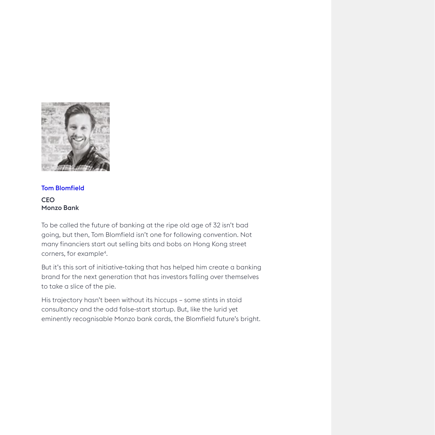

# Tom Blomfield

# CEO Monzo Bank

To be called the future of banking at the ripe old age of 32 isn't bad going, but then, Tom Blomfield isn't one for following convention. Not many financiers start out selling bits and bobs on Hong Kong street corners, for example<sup>4</sup>.

But it's this sort of initiative-taking that has helped him create a banking brand for the next generation that has investors falling over themselves to take a slice of the pie.

His trajectory hasn't been without its hiccups – some stints in staid consultancy and the odd false-start startup. But, like the lurid yet eminently recognisable Monzo bank cards, the Blomfield future's bright.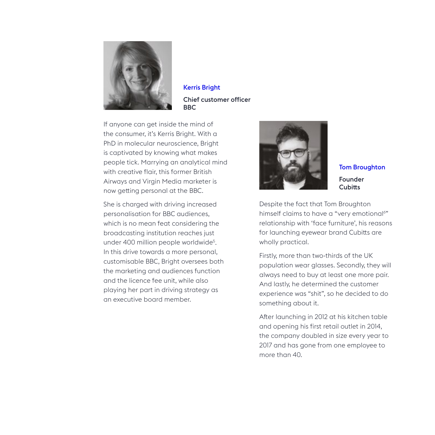

Kerris Bright Chief customer officer BBC

If anyone can get inside the mind of the consumer, it's Kerris Bright. With a PhD in molecular neuroscience, Bright is captivated by knowing what makes people tick. Marrying an analytical mind with creative flair, this former British Airways and Virgin Media marketer is now getting personal at the BBC.

She is charged with driving increased personalisation for BBC audiences, which is no mean feat considering the broadcasting institution reaches just under 400 million people worldwide<sup>5</sup>. In this drive towards a more personal, customisable BBC, Bright oversees both the marketing and audiences function and the licence fee unit, while also playing her part in driving strategy as an executive board member.



Tom Broughton Founder **Cubitts** 

Despite the fact that Tom Broughton himself claims to have a "very emotional<sup>o</sup>" relationship with 'face furniture', his reasons for launching eyewear brand Cubitts are wholly practical.

Firstly, more than two-thirds of the UK population wear glasses. Secondly, they will always need to buy at least one more pair. And lastly, he determined the customer experience was "shit", so he decided to do something about it.

After launching in 2012 at his kitchen table and opening his first retail outlet in 2014, the company doubled in size every year to 2017 and has gone from one employee to more than 40.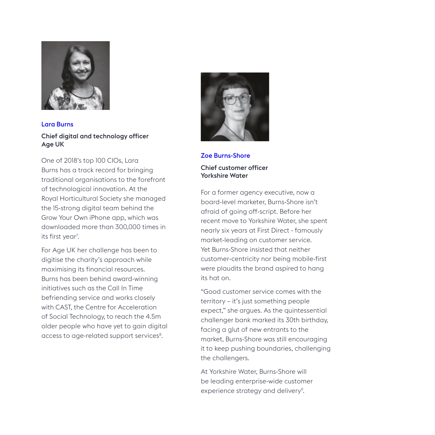

# Lara Burns

Chief digital and technology officer Age UK

One of 2018's top 100 CIOs, Lara Burns has a track record for bringing traditional organisations to the forefront of technological innovation. At the Royal Horticultural Society she managed the 15-strong digital team behind the Grow Your Own iPhone app, which was downloaded more than 300,000 times in its first year'.

For Age UK her challenge has been to digitise the charity's approach while maximising its financial resources. Burns has been behind award-winning initiatives such as the Call In Time befriending service and works closely with CAST, the Centre for Acceleration of Social Technology, to reach the 4.5m older people who have yet to gain digital access to age-related support services<sup>8</sup>.



#### Zoe Burns-Shore

Chief customer officer Yorkshire Water

For a former agency executive, now a board-level marketer, Burns-Shore isn't afraid of going off-script. Before her recent move to Yorkshire Water, she spent nearly six years at First Direct - famously market-leading on customer service. Yet Burns-Shore insisted that neither customer-centricity nor being mobile-first were plaudits the brand aspired to hang its hat on.

"Good customer service comes with the territory – it's just something people expect," she argues. As the quintessential challenger bank marked its 30th birthday, facing a glut of new entrants to the market, Burns-Shore was still encouraging it to keep pushing boundaries, challenging the challengers.

At Yorkshire Water, Burns-Shore will be leading enterprise-wide customer experience strategy and delivery<sup>9</sup>.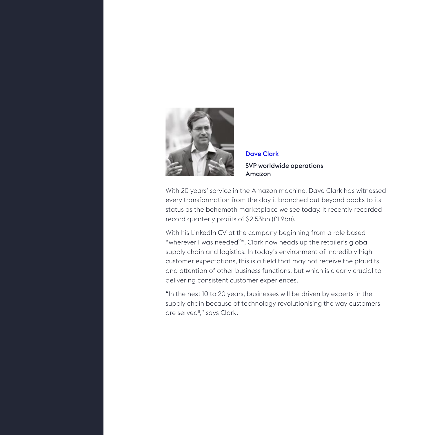

Dave Clark SVP worldwide operations Amazon

With 20 years' service in the Amazon machine, Dave Clark has witnessed every transformation from the day it branched out beyond books to its status as the behemoth marketplace we see today. It recently recorded record quarterly profits of \$2.53bn (£1.9bn).

With his LinkedIn CV at the company beginning from a role based "wherever I was needed<sup>10</sup>". Clark now heads up the retailer's global supply chain and logistics. In today's environment of incredibly high customer expectations, this is a field that may not receive the plaudits and attention of other business functions, but which is clearly crucial to delivering consistent customer experiences.

"In the next 10 to 20 years, businesses will be driven by experts in the supply chain because of technology revolutionising the way customers are served<sup>11</sup>," says Clark.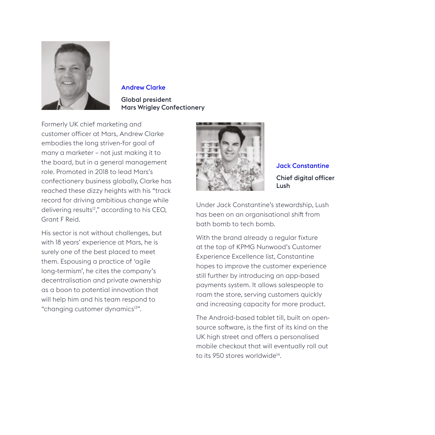

# Andrew Clarke

Global president Mars Wrigley Confectionery

Formerly UK chief marketing and customer officer at Mars, Andrew Clarke embodies the long striven-for goal of many a marketer – not just making it to the board, but in a general management role. Promoted in 2018 to lead Mars's confectionery business globally, Clarke has reached these dizzy heights with his "track record for driving ambitious change while delivering results<sup>12</sup>," according to his CEO, Grant F Reid.

His sector is not without challenges, but with 18 years' experience at Mars, he is surely one of the best placed to meet them. Espousing a practice of 'agile long-termism', he cites the company's decentralisation and private ownership as a boon to potential innovation that will help him and his team respond to "changing customer dynamics<sup>13</sup>".



Jack Constantine Chief digital officer Lush

Under Jack Constantine's stewardship, Lush has been on an organisational shift from bath bomb to tech bomb.

With the brand already a regular fixture at the top of KPMG Nunwood's Customer Experience Excellence list, Constantine hopes to improve the customer experience still further by introducing an app-based payments system. It allows salespeople to roam the store, serving customers quickly and increasing capacity for more product.

The Android-based tablet till, built on opensource software, is the first of its kind on the UK high street and offers a personalised mobile checkout that will eventually roll out to its 950 stores worldwide<sup>14</sup>.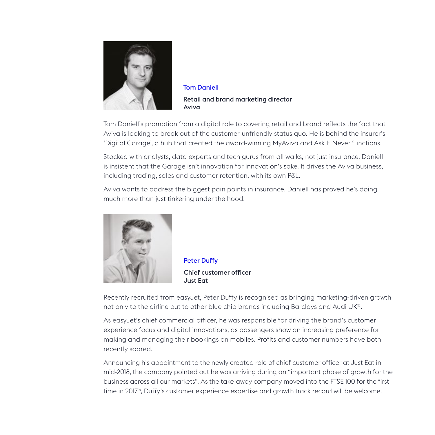

Tom Daniell Retail and brand marketing director Aviva

Tom Daniell's promotion from a digital role to covering retail and brand reflects the fact that Aviva is looking to break out of the customer-unfriendly status quo. He is behind the insurer's 'Digital Garage', a hub that created the award-winning MyAviva and Ask It Never functions.

Stocked with analysts, data experts and tech gurus from all walks, not just insurance, Daniell is insistent that the Garage isn't innovation for innovation's sake. It drives the Aviva business, including trading, sales and customer retention, with its own P&L.

Aviva wants to address the biggest pain points in insurance. Daniell has proved he's doing much more than just tinkering under the hood.



Peter Duffy Chief customer officer Just Eat

Recently recruited from easyJet, Peter Duffy is recognised as bringing marketing-driven growth not only to the airline but to other blue chip brands including Barclays and Audi UK15.

As easyJet's chief commercial officer, he was responsible for driving the brand's customer experience focus and digital innovations, as passengers show an increasing preference for making and managing their bookings on mobiles. Profits and customer numbers have both recently soared.

Announcing his appointment to the newly created role of chief customer officer at Just Eat in mid-2018, the company pointed out he was arriving during an "important phase of growth for the business across all our markets". As the take-away company moved into the FTSE 100 for the first time in 2017<sup>6</sup>, Duffy's customer experience expertise and growth track record will be welcome.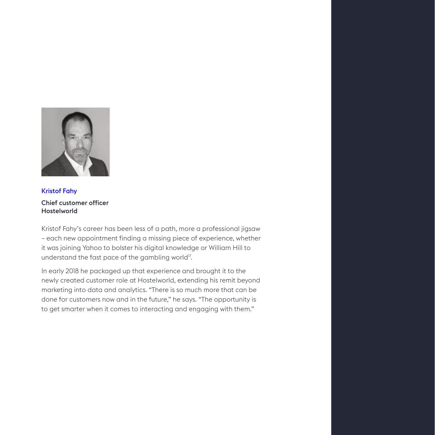

# Kristof Fahy Chief customer officer Hostelworld

Kristof Fahy's career has been less of a path, more a professional jigsaw – each new appointment finding a missing piece of experience, whether it was joining Yahoo to bolster his digital knowledge or William Hill to understand the fast pace of the gambling world<sup>17</sup>.

In early 2018 he packaged up that experience and brought it to the newly created customer role at Hostelworld, extending his remit beyond marketing into data and analytics. "There is so much more that can be done for customers now and in the future," he says. "The opportunity is to get smarter when it comes to interacting and engaging with them."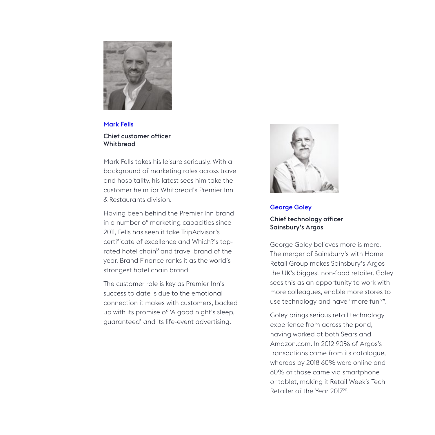

# Mark Fells

# Chief customer officer **Whithread**

Mark Fells takes his leisure seriously. With a background of marketing roles across travel and hospitality, his latest sees him take the customer helm for Whitbread's Premier Inn & Restaurants division.

Having been behind the Premier Inn brand in a number of marketing capacities since 2011, Fells has seen it take TripAdvisor's certificate of excellence and Which?'s toprated hotel chain<sup>18</sup> and travel brand of the year. Brand Finance ranks it as the world's strongest hotel chain brand.

The customer role is key as Premier Inn's success to date is due to the emotional connection it makes with customers, backed up with its promise of 'A good night's sleep, guaranteed' and its life-event advertising.



# George Goley Chief technology officer Sainsbury's Argos

George Goley believes more is more. The merger of Sainsbury's with Home Retail Group makes Sainsbury's Argos the UK's biggest non-food retailer. Goley sees this as an opportunity to work with more colleagues, enable more stores to use technology and have "more fun<sup>19</sup>".

Goley brings serious retail technology experience from across the pond, having worked at both Sears and Amazon.com. In 2012 90% of Argos's transactions came from its catalogue, whereas by 2018 60% were online and 80% of those came via smartphone or tablet, making it Retail Week's Tech Retailer of the Year 201720.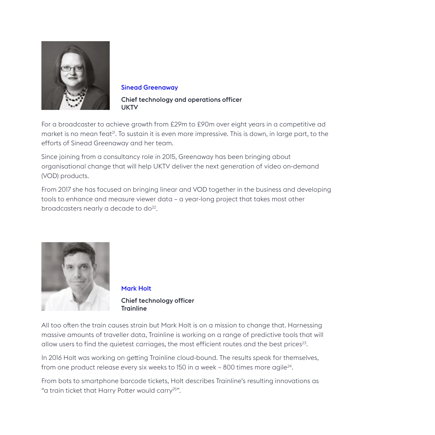

# Sinead Greenaway

Chief technology and operations officer **IJKTV** 

For a broadcaster to achieve growth from £29m to £90m over eight years in a competitive ad market is no mean feat<sup>21</sup>. To sustain it is even more impressive. This is down, in large part, to the efforts of Sinead Greenaway and her team.

Since joining from a consultancy role in 2015, Greenaway has been bringing about organisational change that will help UKTV deliver the next generation of video on-demand (VOD) products.

From 2017 she has focused on bringing linear and VOD together in the business and developing tools to enhance and measure viewer data – a year-long project that takes most other broadcasters nearly a decade to do<sup>22</sup>.



Mark Holt Chief technology officer **Trainline** 

All too often the train causes strain but Mark Holt is on a mission to change that. Harnessing massive amounts of traveller data, Trainline is working on a range of predictive tools that will allow users to find the quietest carriages, the most efficient routes and the best prices $23$ .

In 2016 Holt was working on getting Trainline cloud-bound. The results speak for themselves, from one product release every six weeks to 150 in a week – 800 times more agile24.

From bots to smartphone barcode tickets, Holt describes Trainline's resulting innovations as "a train ticket that Harry Potter would carry<sup>25"</sup>.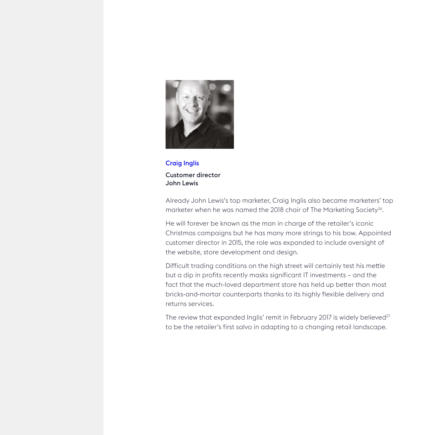

# Craig Inglis

Customer director John Lewis

Already John Lewis's top marketer, Craig Inglis also became marketers' top marketer when he was named the 2018 chair of The Marketing Society<sup>26</sup>.

He will forever be known as the man in charge of the retailer's iconic Christmas campaigns but he has many more strings to his bow. Appointed customer director in 2015, the role was expanded to include oversight of the website, store development and design.

Difficult trading conditions on the high street will certainly test his mettle but a dip in profits recently masks significant IT investments – and the fact that the much-loved department store has held up better than most bricks-and-mortar counterparts thanks to its highly flexible delivery and returns services.

The review that expanded Inglis' remit in February 2017 is widely believed<sup>27</sup> to be the retailer's first salvo in adapting to a changing retail landscape.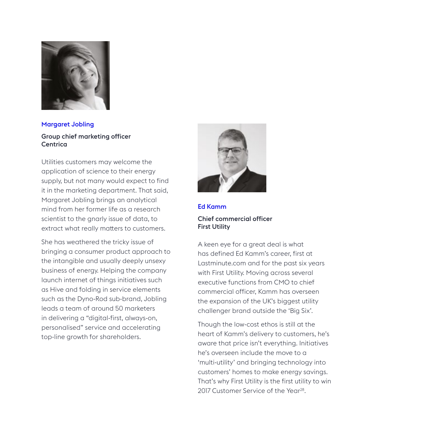

Margaret Jobling Group chief marketing officer **Centrica** 

Utilities customers may welcome the application of science to their energy supply, but not many would expect to find it in the marketing department. That said, Margaret Jobling brings an analytical mind from her former life as a research scientist to the gnarly issue of data, to extract what really matters to customers.

She has weathered the tricky issue of bringing a consumer product approach to the intangible and usually deeply unsexy business of energy. Helping the company launch internet of things initiatives such as Hive and folding in service elements such as the Dyno-Rod sub-brand, Jobling leads a team of around 50 marketers in delivering a "digital-first, always-on, personalised" service and accelerating top-line growth for shareholders.



# Ed Kamm Chief commercial officer First Utility

A keen eye for a great deal is what has defined Ed Kamm's career, first at Lastminute.com and for the past six years with First Utility. Moving across several executive functions from CMO to chief commercial officer, Kamm has overseen the expansion of the UK's biggest utility challenger brand outside the 'Big Six'.

Though the low-cost ethos is still at the heart of Kamm's delivery to customers, he's aware that price isn't everything. Initiatives he's overseen include the move to a 'multi-utility' and bringing technology into customers' homes to make energy savings. That's why First Utility is the first utility to win 2017 Customer Service of the Year<sup>28</sup>.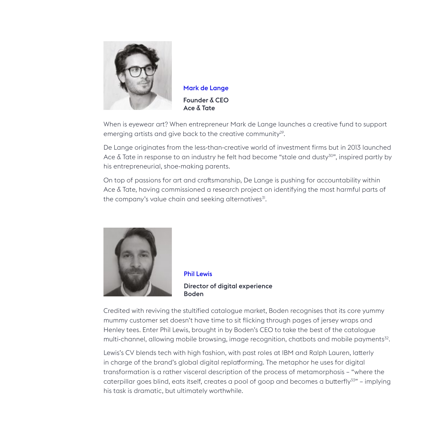

Mark de Lange Founder & CEO Ace & Tate

When is eyewear art? When entrepreneur Mark de Lange launches a creative fund to support emerging artists and give back to the creative community<sup>29</sup>.

De Lange originates from the less-than-creative world of investment firms but in 2013 launched Ace  $\delta$  Tate in response to an industry he felt had become "stale and dusty<sup>30</sup>", inspired partly by his entrepreneurial, shoe-making parents.

On top of passions for art and craftsmanship, De Lange is pushing for accountability within Ace & Tate, having commissioned a research project on identifying the most harmful parts of the company's value chain and seeking alternatives<sup>31</sup>.



Phil Lewis Director of digital experience Boden

Credited with reviving the stultified catalogue market, Boden recognises that its core yummy mummy customer set doesn't have time to sit flicking through pages of jersey wraps and Henley tees. Enter Phil Lewis, brought in by Boden's CEO to take the best of the catalogue multi-channel, allowing mobile browsing, image recognition, chatbots and mobile payments<sup>32</sup>.

Lewis's CV blends tech with high fashion, with past roles at IBM and Ralph Lauren, latterly in charge of the brand's global digital replatforming. The metaphor he uses for digital transformation is a rather visceral description of the process of metamorphosis – "where the caterpillar goes blind, eats itself, creates a pool of goop and becomes a butterfly33" – implying his task is dramatic, but ultimately worthwhile.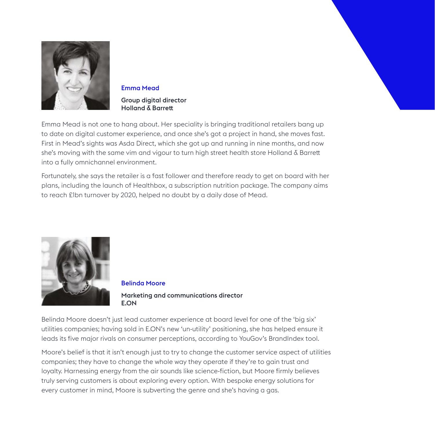

# Emma Mead

Group digital director Holland & Barrett

Emma Mead is not one to hang about. Her speciality is bringing traditional retailers bang up to date on digital customer experience, and once she's got a project in hand, she moves fast. First in Mead's sights was Asda Direct, which she got up and running in nine months, and now she's moving with the same vim and vigour to turn high street health store Holland & Barrett into a fully omnichannel environment.

Fortunately, she says the retailer is a fast follower and therefore ready to get on board with her plans, including the launch of Healthbox, a subscription nutrition package. The company aims to reach £1bn turnover by 2020, helped no doubt by a daily dose of Mead.



Belinda Moore Marketing and communications director E.ON

Belinda Moore doesn't just lead customer experience at board level for one of the 'big six' utilities companies; having sold in E.ON's new 'un-utility' positioning, she has helped ensure it leads its five major rivals on consumer perceptions, according to YouGov's BrandIndex tool.

Moore's belief is that it isn't enough just to try to change the customer service aspect of utilities companies; they have to change the whole way they operate if they're to gain trust and loyalty. Harnessing energy from the air sounds like science-fiction, but Moore firmly believes truly serving customers is about exploring every option. With bespoke energy solutions for every customer in mind, Moore is subverting the genre and she's having a gas.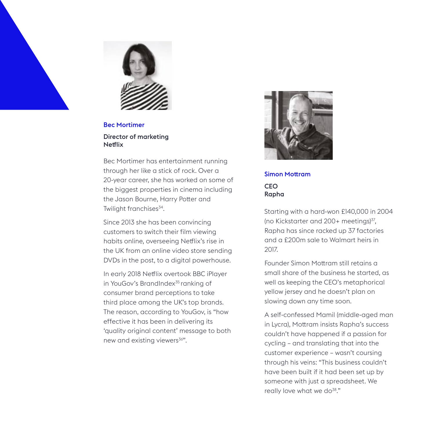



#### Bec Mortimer

# Director of marketing Netflix

Bec Mortimer has entertainment running through her like a stick of rock. Over a 20-year career, she has worked on some of the biggest properties in cinema including the Jason Bourne, Harry Potter and Twilight franchises<sup>34</sup>.

Since 2013 she has been convincing customers to switch their film viewing habits online, overseeing Netflix's rise in the UK from an online video store sending DVDs in the post, to a digital powerhouse.

In early 2018 Netflix overtook BBC iPlayer in YouGov's BrandIndex<sup>35</sup> ranking of consumer brand perceptions to take third place among the UK's top brands. The reason, according to YouGov, is "how effective it has been in delivering its 'quality original content' message to both new and existing viewers<sup>36"</sup>.



Simon Mottram CEO Rapha

Starting with a hard-won £140,000 in 2004 (no Kickstarter and 200+ meetings)37, Rapha has since racked up 37 factories and a £200m sale to Walmart heirs in 2017.

Founder Simon Mottram still retains a small share of the business he started, as well as keeping the CEO's metaphorical yellow jersey and he doesn't plan on slowing down any time soon.

A self-confessed Mamil (middle-aged man in Lycra), Mottram insists Rapha's success couldn't have happened if a passion for cycling – and translating that into the customer experience – wasn't coursing through his veins: "This business couldn't have been built if it had been set up by someone with just a spreadsheet. We really love what we do<sup>38</sup>."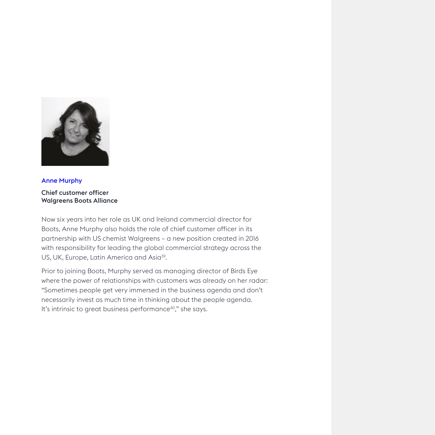

# Anne Murphy

Chief customer officer Walgreens Boots Alliance

Now six years into her role as UK and Ireland commercial director for Boots, Anne Murphy also holds the role of chief customer officer in its partnership with US chemist Walgreens – a new position created in 2016 with responsibility for leading the global commercial strategy across the US, UK, Europe, Latin America and Asia<sup>39</sup>.

Prior to joining Boots, Murphy served as managing director of Birds Eye where the power of relationships with customers was already on her radar: "Sometimes people get very immersed in the business agenda and don't necessarily invest as much time in thinking about the people agenda. It's intrinsic to great business performance<sup>40</sup>," she says.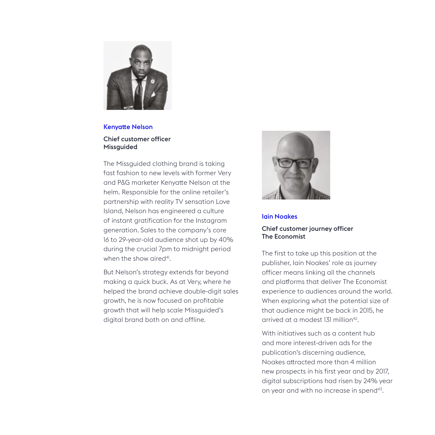

#### Kenyatte Nelson

### Chief customer officer Missguided

The Missguided clothing brand is taking fast fashion to new levels with former Very and P&G marketer Kenyatte Nelson at the helm. Responsible for the online retailer's partnership with reality TV sensation Love Island, Nelson has engineered a culture of instant gratification for the Instagram generation. Sales to the company's core 16 to 29-year-old audience shot up by 40% during the crucial 7pm to midnight period when the show aired<sup>41</sup>

But Nelson's strategy extends far beyond making a quick buck. As at Very, where he helped the brand achieve double-digit sales growth, he is now focused on profitable growth that will help scale Missguided's digital brand both on and offline.



#### Iain Noakes

# Chief customer journey officer The Economist

The first to take up this position at the publisher, Iain Noakes' role as journey officer means linking all the channels and platforms that deliver The Economist experience to audiences around the world. When exploring what the potential size of that audience might be back in 2015, he arrived at a modest 131 million42.

With initiatives such as a content hub and more interest-driven ads for the publication's discerning audience, Noakes attracted more than 4 million new prospects in his first year and by 2017, digital subscriptions had risen by 24% year on year and with no increase in spend<sup>43</sup>.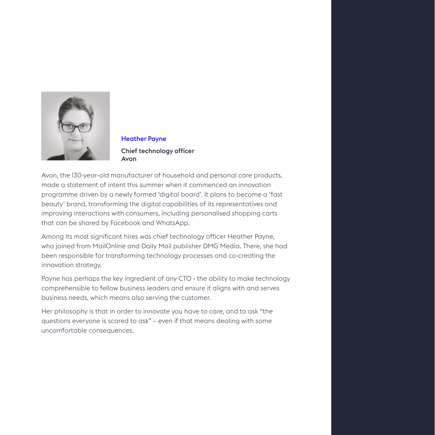

# Heather Payne

Chief technology officer Avon

Avon, the 130-year-old manufacturer of household and personal care products, made a statement of intent this summer when it commenced an innovation programme driven by a newly formed 'digital board'. It plans to become a 'fast beauty' brand, transforming the digital capabilities of its representatives and improving interactions with consumers, including personalised shopping carts that can be shared by Facebook and WhatsApp.

Among its most significant hires was chief technology officer Heather Payne, who joined from MailOnline and Daily Mail publisher DMG Media. There, she had been responsible for transforming technology processes and co-creating the innovation strategy.

Payne has perhaps the key ingredient of any CTO - the ability to make technology comprehensible to fellow business leaders and ensure it aligns with and serves business needs, which means also serving the customer.

Her philosophy is that in order to innovate you have to care, and to ask "the questions everyone is scared to ask" – even if that means dealing with some uncomfortable consequences.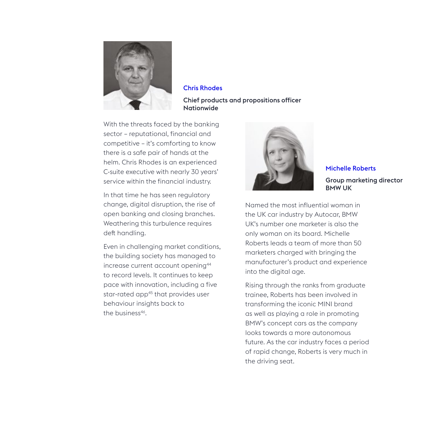

# Chris Rhodes Chief products and propositions officer Nationwide

With the threats faced by the banking sector – reputational, financial and competitive – it's comforting to know there is a safe pair of hands at the helm. Chris Rhodes is an experienced C-suite executive with nearly 30 years' service within the financial industry.

In that time he has seen regulatory change, digital disruption, the rise of open banking and closing branches. Weathering this turbulence requires deft handling.

Even in challenging market conditions, the building society has managed to increase current account opening<sup>44</sup> to record levels. It continues to keep pace with innovation, including a five star-rated app<sup>45</sup> that provides user behaviour insights back to the business<sup>46</sup>.



Michelle Roberts Group marketing director BMW UK

Named the most influential woman in the UK car industry by Autocar, BMW UK's number one marketer is also the only woman on its board. Michelle Roberts leads a team of more than 50 marketers charged with bringing the manufacturer's product and experience into the digital age.

Rising through the ranks from graduate trainee, Roberts has been involved in transforming the iconic MINI brand as well as playing a role in promoting BMW's concept cars as the company looks towards a more autonomous future. As the car industry faces a period of rapid change, Roberts is very much in the driving seat.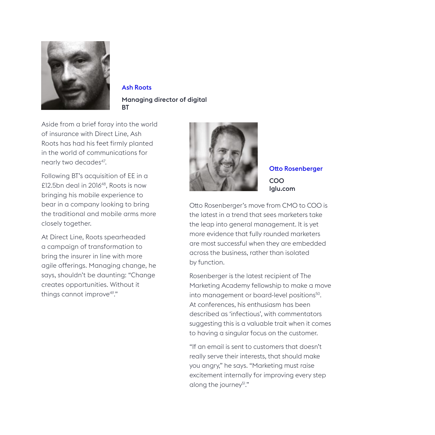

# Ash Roots

Managing director of digital **RT** 

Aside from a brief foray into the world of insurance with Direct Line, Ash Roots has had his feet firmly planted in the world of communications for nearly two decades<sup>47</sup>.

Following BT's acquisition of EE in a £12.5bn deal in 201648, Roots is now bringing his mobile experience to bear in a company looking to bring the traditional and mobile arms more closely together.

At Direct Line, Roots spearheaded a campaign of transformation to bring the insurer in line with more agile offerings. Managing change, he says, shouldn't be daunting: "Change creates opportunities. Without it things cannot improve49."



Otto Rosenberger COO Iglu.com

Otto Rosenberger's move from CMO to COO is the latest in a trend that sees marketers take the leap into general management. It is yet more evidence that fully rounded marketers are most successful when they are embedded across the business, rather than isolated by function.

Rosenberger is the latest recipient of The Marketing Academy fellowship to make a move into management or board-level positions<sup>50</sup>. At conferences, his enthusiasm has been described as 'infectious', with commentators suggesting this is a valuable trait when it comes to having a singular focus on the customer.

"If an email is sent to customers that doesn't really serve their interests, that should make you angry," he says. "Marketing must raise excitement internally for improving every step along the journey51."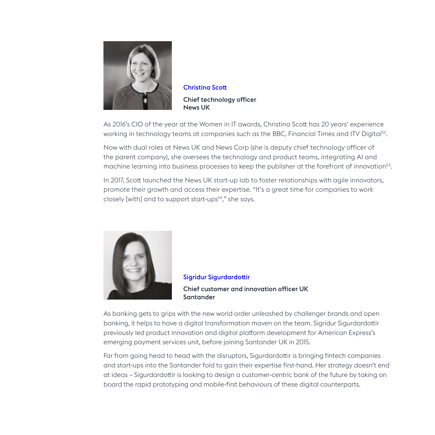

Christina Scott Chief technology officer News UK

As 2016's CIO of the year at the Women in IT awards, Christina Scott has 20 years' experience working in technology teams at companies such as the BBC, Financial Times and ITV Digital<sup>52</sup>.

Now with dual roles at News UK and News Corp (she is deputy chief technology officer of the parent company), she oversees the technology and product teams, integrating AI and machine learning into business processes to keep the publisher at the forefront of innovation53.

In 2017, Scott launched the News UK start-up lab to foster relationships with agile innovators, promote their growth and access their expertise. "It's a great time for companies to work closely [with] and to support start-ups<sup>54</sup>," she says.



Sigridur Sigurdardottir Chief customer and innovation officer UK Santander

As banking gets to grips with the new world order unleashed by challenger brands and open banking, it helps to have a digital transformation maven on the team. Sigridur Sigurdardottir previously led product innovation and digital platform development for American Express's emerging payment services unit, before joining Santander UK in 2015.

Far from going head to head with the disruptors, Sigurdardottir is bringing fintech companies and start-ups into the Santander fold to gain their expertise first-hand. Her strategy doesn't end at ideas – Sigurdardottir is looking to design a customer-centric bank of the future by taking on board the rapid prototyping and mobile-first behaviours of these digital counterparts.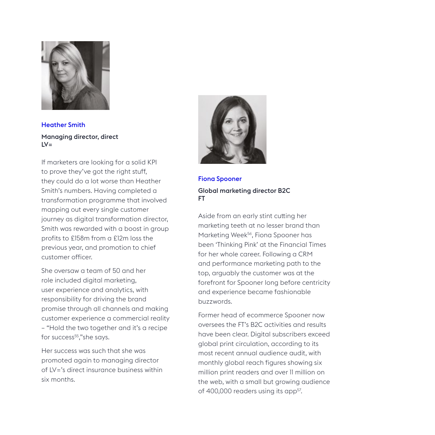

Heather Smith Managing director, direct  $IV=$ 

If marketers are looking for a solid KPI to prove they've got the right stuff, they could do a lot worse than Heather Smith's numbers. Having completed a transformation programme that involved mapping out every single customer journey as digital transformation director, Smith was rewarded with a boost in group profits to £158m from a £12m loss the previous year, and promotion to chief customer officer.

She oversaw a team of 50 and her role included digital marketing, user experience and analytics, with responsibility for driving the brand promise through all channels and making customer experience a commercial reality – "Hold the two together and it's a recipe for success<sup>55</sup>,"she says.

Her success was such that she was promoted again to managing director of LV='s direct insurance business within six months.



# Fiona Spooner Global marketing director B2C FT

Aside from an early stint cutting her marketing teeth at no lesser brand than Marketing Week<sup>56</sup>, Fiona Spooner has been 'Thinking Pink' at the Financial Times for her whole career. Following a CRM and performance marketing path to the top, arguably the customer was at the forefront for Spooner long before centricity and experience became fashionable buzzwords.

Former head of ecommerce Spooner now oversees the FT's B2C activities and results have been clear. Digital subscribers exceed global print circulation, according to its most recent annual audience audit, with monthly global reach figures showing six million print readers and over 11 million on the web, with a small but growing audience of 400,000 readers using its app<sup>57</sup>.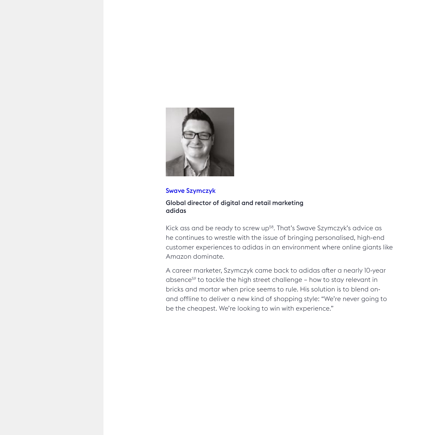

### Swave Szymczyk

# Global director of digital and retail marketing adidas

Kick ass and be ready to screw up<sup>58</sup>. That's Swave Szymczyk's advice as he continues to wrestle with the issue of bringing personalised, high-end customer experiences to adidas in an environment where online giants like Amazon dominate.

A career marketer, Szymczyk came back to adidas after a nearly 10-year absence<sup>59</sup> to tackle the high street challenge - how to stay relevant in bricks and mortar when price seems to rule. His solution is to blend onand offline to deliver a new kind of shopping style: "We're never going to be the cheapest. We're looking to win with experience."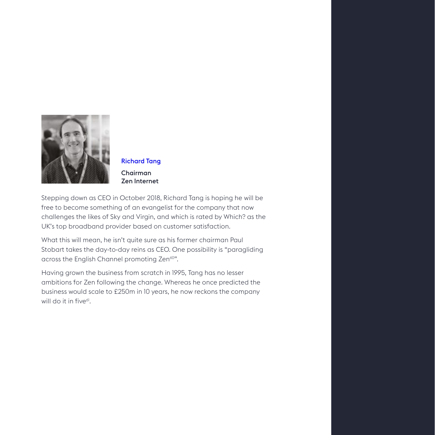

# Richard Tang

Chairman Zen Internet

Stepping down as CEO in October 2018, Richard Tang is hoping he will be free to become something of an evangelist for the company that now challenges the likes of Sky and Virgin, and which is rated by Which? as the UK's top broadband provider based on customer satisfaction.

What this will mean, he isn't quite sure as his former chairman Paul Stobart takes the day-to-day reins as CEO. One possibility is "paragliding across the English Channel promoting Zen<sup>60"</sup>.

Having grown the business from scratch in 1995, Tang has no lesser ambitions for Zen following the change. Whereas he once predicted the business would scale to £250m in 10 years, he now reckons the company will do it in five<sup>61</sup>.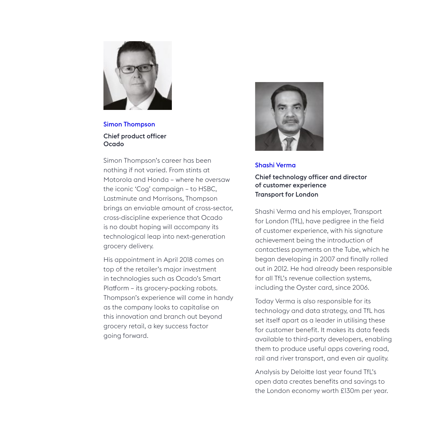

# Simon Thompson Chief product officer Ocado

Simon Thompson's career has been nothing if not varied. From stints at Motorola and Honda – where he oversaw the iconic 'Cog' campaign – to HSBC, Lastminute and Morrisons, Thompson brings an enviable amount of cross-sector, cross-discipline experience that Ocado is no doubt hoping will accompany its technological leap into next-generation grocery delivery.

His appointment in April 2018 comes on top of the retailer's major investment in technologies such as Ocado's Smart Platform – its grocery-packing robots. Thompson's experience will come in handy as the company looks to capitalise on this innovation and branch out beyond grocery retail, a key success factor going forward.



# Shashi Verma

# Chief technology officer and director of customer experience Transport for London

Shashi Verma and his employer, Transport for London (TfL), have pedigree in the field of customer experience, with his signature achievement being the introduction of contactless payments on the Tube, which he began developing in 2007 and finally rolled out in 2012. He had already been responsible for all TfL's revenue collection systems, including the Oyster card, since 2006.

Today Verma is also responsible for its technology and data strategy, and TfL has set itself apart as a leader in utilising these for customer benefit. It makes its data feeds available to third-party developers, enabling them to produce useful apps covering road, rail and river transport, and even air quality.

Analysis by Deloitte last year found TfL's open data creates benefits and savings to the London economy worth £130m per year.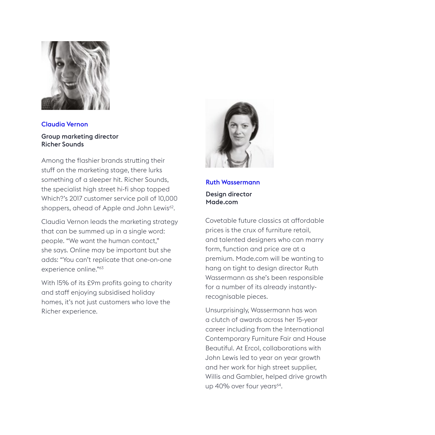

# Claudia Vernon

Group marketing director Richer Sounds

Among the flashier brands strutting their stuff on the marketing stage, there lurks something of a sleeper hit. Richer Sounds, the specialist high street hi-fi shop topped Which?'s 2017 customer service poll of 10,000 shoppers, ahead of Apple and John Lewis<sup>62</sup>.

Claudia Vernon leads the marketing strategy that can be summed up in a single word: people. "We want the human contact," she says. Online may be important but she adds: "You can't replicate that one-on-one experience online."63

With 15% of its £9m profits going to charity and staff enjoying subsidised holiday homes, it's not just customers who love the Richer experience.



# Ruth Wassermann

Desian director Made.com

Covetable future classics at affordable prices is the crux of furniture retail, and talented designers who can marry form, function and price are at a premium. Made.com will be wanting to hang on tight to design director Ruth Wassermann as she's been responsible for a number of its already instantlyrecognisable pieces.

Unsurprisingly, Wassermann has won a clutch of awards across her 15-year career including from the International Contemporary Furniture Fair and House Beautiful. At Ercol, collaborations with John Lewis led to year on year growth and her work for high street supplier, Willis and Gambler, helped drive growth up 40% over four years<sup>64</sup>.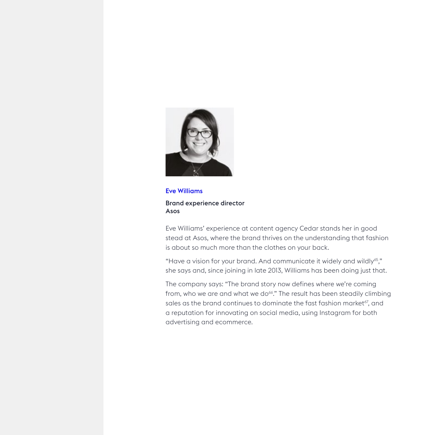

# Eve Williams

### Brand experience director Asos

Eve Williams' experience at content agency Cedar stands her in good stead at Asos, where the brand thrives on the understanding that fashion is about so much more than the clothes on your back.

"Have a vision for your brand. And communicate it widely and wildly<sup>65</sup>," she says and, since joining in late 2013, Williams has been doing just that.

The company says: "The brand story now defines where we're coming from, who we are and what we do<sup>66</sup>." The result has been steadily climbing sales as the brand continues to dominate the fast fashion market<sup>67</sup>, and a reputation for innovating on social media, using Instagram for both advertising and ecommerce.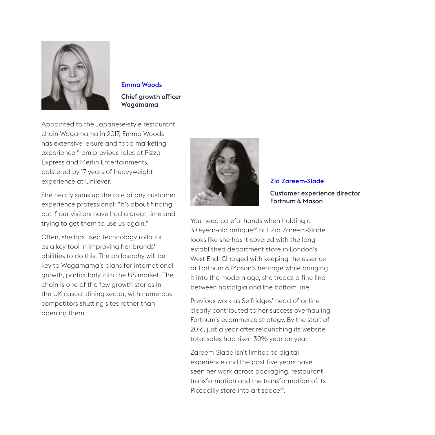

# Emma Woods

Chief growth officer Wagamama

Appointed to the Japanese-style restaurant chain Wagamama in 2017, Emma Woods has extensive leisure and food marketing experience from previous roles at Pizza Express and Merlin Entertainments, bolstered by 17 years of heavyweight experience at Unilever.

She neatly sums up the role of any customer experience professional: "It's about finding out if our visitors have had a great time and trying to get them to use us again."

Often, she has used technology rollouts as a key tool in improving her brands' abilities to do this. The philosophy will be key to Wagamama's plans for international growth, particularly into the US market. The chain is one of the few growth stories in the UK casual dining sector, with numerous competitors shutting sites rather than opening them.



Zia Zareem-Slade Customer experience director Fortnum & Mason

You need careful hands when holding a 310-year-old antique<sup>68</sup> but Zia Zareem-Slade looks like she has it covered with the longestablished department store in London's West End. Charged with keeping the essence of Fortnum & Mason's heritage while bringing it into the modern age, she treads a fine line between nostalgia and the bottom line.

Previous work as Selfridges' head of online clearly contributed to her success overhauling Fortnum's ecommerce strategy. By the start of 2016, just a year after relaunching its website, total sales had risen 30% year on year.

Zareem-Slade isn't limited to digital experience and the past five years have seen her work across packaging, restaurant transformation and the transformation of its Piccadilly store into art space<sup>69</sup>.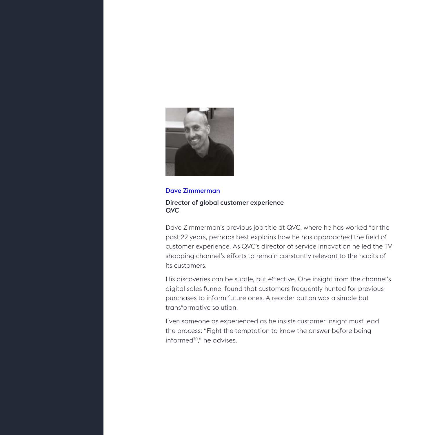

# Dave Zimmerman

### Director of global customer experience QVC

Dave Zimmerman's previous job title at QVC, where he has worked for the past 22 years, perhaps best explains how he has approached the field of customer experience. As QVC's director of service innovation he led the TV shopping channel's efforts to remain constantly relevant to the habits of its customers.

His discoveries can be subtle, but effective. One insight from the channel's digital sales funnel found that customers frequently hunted for previous purchases to inform future ones. A reorder button was a simple but transformative solution.

Even someone as experienced as he insists customer insight must lead the process: "Fight the temptation to know the answer before being informed<sup>70</sup>," he advises.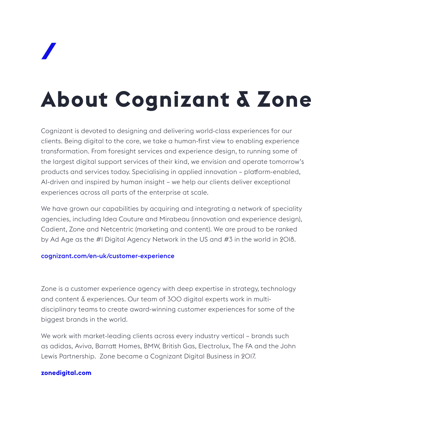# **About Cognizant & Zone**

Cognizant is devoted to designing and delivering world-class experiences for our clients. Being digital to the core, we take a human-first view to enabling experience transformation. From foresight services and experience design, to running some of the largest digital support services of their kind, we envision and operate tomorrow's products and services today. Specialising in applied innovation – platform-enabled, AI-driven and inspired by human insight – we help our clients deliver exceptional experiences across all parts of the enterprise at scale.

We have grown our capabilities by acquiring and integrating a network of speciality agencies, including Idea Couture and Mirabeau (innovation and experience design), Cadient, Zone and Netcentric (marketing and content). We are proud to be ranked by Ad Age as the #1 Digital Agency Network in the US and #3 in the world in 2018.

# cognizant.com/en-uk/customer-experience

Zone is a customer experience agency with deep expertise in strategy, technology and content & experiences. Our team of 300 digital experts work in multidisciplinary teams to create award-winning customer experiences for some of the biggest brands in the world.

We work with market-leading clients across every industry vertical – brands such as adidas, Aviva, Barratt Homes, BMW, British Gas, Electrolux, The FA and the John Lewis Partnership. Zone became a Cognizant Digital Business in 2017.

# **zonedigital.com**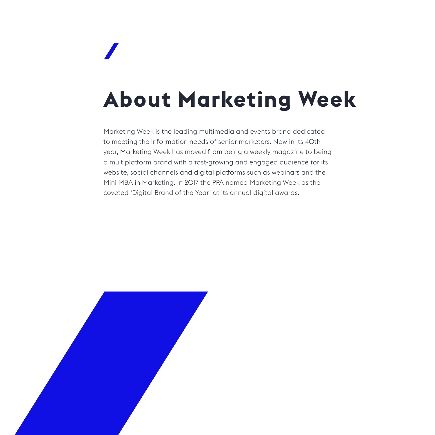# **About Marketing Week**

Marketing Week is the leading multimedia and events brand dedicated to meeting the information needs of senior marketers. Now in its 40th year, Marketing Week has moved from being a weekly magazine to being a multiplatform brand with a fast-growing and engaged audience for its website, social channels and digital platforms such as webinars and the Mini MBA in Marketing. In 2017 the PPA named Marketing Week as the coveted 'Digital Brand of the Year' at its annual digital awards.

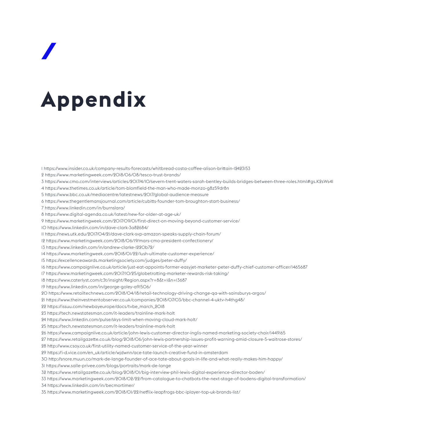# **Appendix**

1 https://www.insider.co.uk/company-results-forecasts/whitbread-costa-coffee-alison-brittain-12423153

2 https://www.marketingweek.com/2018/06/08/tesco-trust-brands/

- 3 https://www.cmo.com/interviews/articles/2017/4/10/severn-trent-waters-sarah-bentley-builds-bridges-between-three-roles.html#gs.K2sWs4I
- 4 https://www.thetimes.co.uk/article/tom-blomfield-the-man-who-made-monzo-g8z59dr8n
- 5 https://www.bbc.co.uk/mediacentre/latestnews/2017/global-audience-measure
- 6 https://www.thegentlemansjournal.com/article/cubitts-founder-tom-broughton-start-business/
- 7 https://www.linkedin.com/in/burnslara/
- 8 https://www.digital-agenda.co.uk/latest/new-for-older-at-age-uk/
- 9 https://www.marketingweek.com/2017/09/01/first-direct-on-moving-beyond-customer-service/
- 10 https://www.linkedin.com/in/dave-clark-3a82684/
- 11 https://news.utk.edu/2017/04/21/dave-clark-svp-amazon-speaks-supply-chain-forum/
- 12 https://www.marketingweek.com/2018/06/19/mars-cmo-president-confectionery/
- 13 https://www.linkedin.com/in/andrew-clarke-1220b72/
- 14 https://www.marketingweek.com/2018/01/22/lush-ultimate-customer-experience/
- 15 https://excellenceawards.marketingsociety.com/judges/peter-duffy/
- 16 https://www.campaignlive.co.uk/article/just-eat-appoints-former-easyjet-marketer-peter-duffy-chief-customer-officer/1465687
- 17 https://www.marketingweek.com/2017/10/25/globetrotting-marketer-rewards-risk-taking/
- 18 https://www.caterlyst.com/c3t/insight/Region.aspx?r=8&t=1&n=13687
- 19 https://www.linkedin.com/in/george-goley-a91506/
- 20 https://www.retailtechnews.com/2018/04/18/retail-technology-driving-change-qa-with-sainsburys-argos/
- 21 https://www.theinvestmentobserver.co.uk/companies/2018/07/03/bbc-channel-4-uktv-h4thg48/
- 22 https://issuu.com/newbayeurope/docs/tvbe\_march\_2018
- 23 https://tech.newstatesman.com/it-leaders/trainline-mark-holt
- 24 https://www.linkedin.com/pulse/skys-limit-when-moving-cloud-mark-holt/
- 25 https://tech.newstatesman.com/it-leaders/trainline-mark-holt
- 26 https://www.campaignlive.co.uk/article/john-lewis-customer-director-inglis-named-marketing-society-chair/1449165
- 27 https://www.retailgazette.co.uk/blog/2018/06/john-lewis-partnership-issues-profit-warning-amid-closure-5-waitrose-stores/
- 28 http://www.csoy.co.uk/first-utility-named-customer-service-of-the-year-winner
- 29 https://i-d.vice.com/en\_uk/article/wjdwnn/ace-tate-launch-creative-fund-in-amsterdam
- 30 http://snore.muun.co/mark-de-lange-founder-of-ace-tate-about-goals-in-life-and-what-really-makes-him-happy/
- 31 https://www.salle-privee.com/blogs/portraits/mark-de-lange
- 32 https://www.retailgazette.co.uk/blog/2018/01/big-interview-phil-lewis-digital-experience-director-boden/
- 33 https://www.marketingweek.com/2018/02/22/from-catalogue-to-chatbots-the-next-stage-of-bodens-digital-transformation/
- 34 https://www.linkedin.com/in/becmortimer/
- 35 https://www.marketingweek.com/2018/01/22/netflix-leapfrogs-bbc-iplayer-top-uk-brands-list/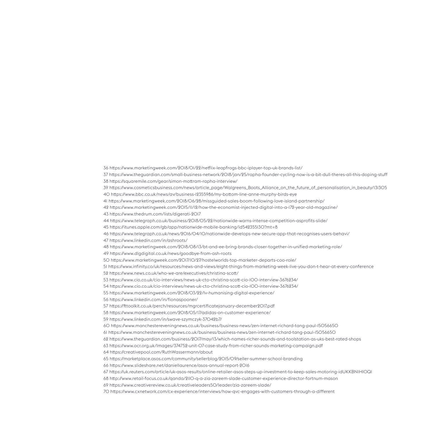36 https://www.marketingweek.com/2018/01/22/netflix-leapfrogs-bbc-iplayer-top-uk-brands-list/

37 https://www.theguardian.com/small-business-network/2018/jan/25/rapha-founder-cycling-now-is-a-bit-dull-theres-all-this-doping-stuff

38 https://squaremile.com/gear/simon-mottram-rapha-interview/

39 https://www.cosmeticsbusiness.com/news/article\_page/Walgreens\_Boots\_Alliance\_on\_the\_future\_of\_personalisation\_in\_beauty/131305

40 https://www.bbc.co.uk/news/av/business-12355986/my-bottom-line-anne-murphy-birds-eye

41 https://www.marketingweek.com/2018/06/28/missguided-sales-boom-following-love-island-partnership/

42 https://www.marketingweek.com/2015/11/12/how-the-economist-injected-digital-into-a-172-year-old-magazine/

43 https://www.thedrum.com/lists/digerati-2017

44 https://www.telegraph.co.uk/business/2018/05/22/nationwide-warns-intense-competition-asprofits-slide/

45 https://itunes.apple.com/gb/app/nationwide-mobile-banking/id542355130?mt=8

46 https://www.telegraph.co.uk/news/2016/04/10/nationwide-develops-new-secure-app-that-recognises-users-behavi/

47 https://www.linkedin.com/in/ashroots/

48 https://www.marketingweek.com/2018/08/13/bt-and-ee-bring-brands-closer-together-in-unified-marketing-role/

49 https://www.dlgdigital.co.uk/news/goodbye-from-ash-roots

50 https://www.marketingweek.com/2017/10/27/hostelworlds-top-marketer-departs-coo-role/

51 https://www.infinity.co/uk/resources/news-and-views/eight-things-from-marketing-week-live-you-don-t-hear-at-every-conference

52 https://www.news.co.uk/who-we-are/executives/christina-scott/

53 https://www.cio.co.uk/cio-interviews/news-uk-cto-christina-scott-cio-100-interview-3676234/

54 https://www.cio.co.uk/cio-interviews/news-uk-cto-christina-scott-cio-100-interview-3676234/

55 https://www.marketingweek.com/2018/03/22/lv-humanising-digital-experience/

56 https://www.linkedin.com/in/fionaspooner/

57 https://fttoolkit.co.uk/perch/resources/mgrcertificatejanuary-december2017.pdf

58 https://www.marketingweek.com/2018/05/17/adidas-on-customer-experience/

59 https://www.linkedin.com/in/swave-szymczyk-37042b7/

60 https://www.manchestereveningnews.co.uk/business/business-news/zen-internet-richard-tang-paul-15056650

61 https://www.manchestereveningnews.co.uk/business/business-news/zen-internet-richard-tang-paul-15056650

62 https://www.theguardian.com/business/2017/may/13/which-names-richer-sounds-and-toolstation-as-uks-best-rated-shops

63 https://www.ocr.org.uk/Images/374752-unit-07-case-study-from-richer-sounds-marketing-campaign.pdf

64 https://creativepool.com/RuthWassermann/about

65 https://marketplace.asos.com/community/sellerblog/2015/09/seller-summer-school-branding

66 https://www.slideshare.net/daniellaurence/asos-annual-report-2016

67 https://uk.reuters.com/article/uk-asos-results/online-retailer-asos-steps-up-investment-to-keep-sales-motoring-idUKKBN1HI0Q1

68 http://www.retail-focus.co.uk/qanda/2110-q-a-zia-zareem-slade-customer-experience-director-fortnum-mason

69 https://www.creativereview.co.uk/creativeleaders50/leader/zia-zareem-slade/

70 https://www.cxnetwork.com/cx-experience/interviews/how-qvc-engages-with-customers-through-a-different